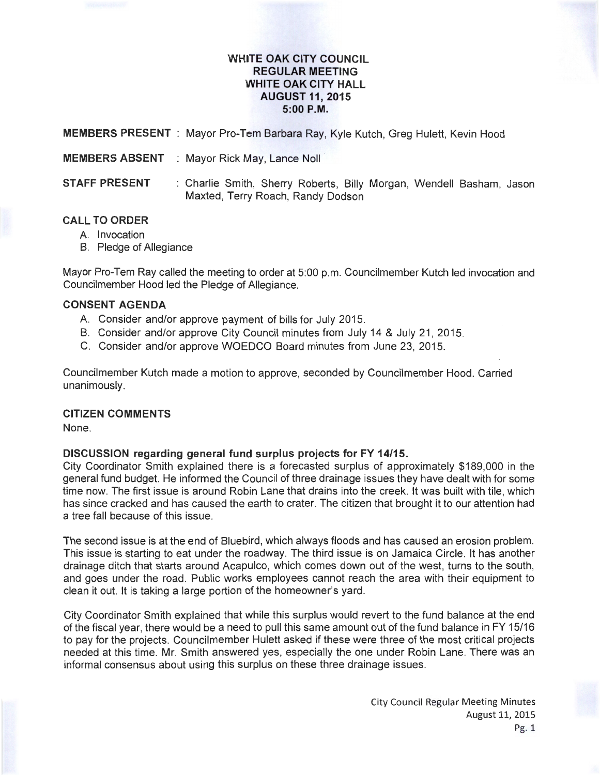## **WHITE OAK CITY COUNCIL REGULAR MEETING WHITE OAK CITY HALL AUGUST 11, 2015 5:00P.M.**

**MEMBERS PRESENT** : Mayor Pro-Tem Barbara Ray, Kyle Kutch, Greg Hulett, Kevin Hood

**MEMBERS ABSENT** : Mayor Rick May, Lance Noll

**STAFF PRESENT** : Charlie Smith, Sherry Roberts, Billy Morgan, Wendell Basham, Jason Maxted, Terry Roach, Randy Dodson

# **CALL TO ORDER**

- A. Invocation
- B. Pledge of Allegiance

Mayor Pro-Tem Ray called the meeting to order at 5:00 p.m. Councilmember Kutch led invocation and Councilmember Hood led the Pledge of Allegiance.

## **CONSENT AGENDA**

- A. Consider and/or approve payment of bills for July 2015.
- B. Consider and/or approve City Council minutes from July 14 & July 21, 2015.
- C. Consider and/or approve WOEDCO Board minutes from June 23, 2015.

Councilmember Kutch made a motion to approve, seconded by Councilmember Hood. Carried unanimously.

#### **CITIZEN COMMENTS**

None.

## **DISCUSSION regarding general fund surplus projects for FY 14/15.**

City Coordinator Smith explained there is a forecasted surplus of approximately \$189,000 in the general fund budget. He informed the Council of three drainage issues they have dealt with for some time now. The first issue is around Robin Lane that drains into the creek. It was built with tile, which has since cracked and has caused the earth to crater. The citizen that brought it to our attention had a tree fall because of this issue.

The second issue is at the end of Bluebird, which always floods and has caused an erosion problem. This issue is starting to eat under the roadway. The third issue is on Jamaica Circle. It has another drainage ditch that starts around Acapulco, which comes down out of the west, turns to the south, and goes under the road. Public works employees cannot reach the area with their equipment to clean it out. It is taking a large portion of the homeowner's yard.

City Coordinator Smith explained that while this surplus would revert to the fund balance at the end of the fiscal year, there would be a need to pull this same amount out of the fund balance in FY 15/16 to pay for the projects. Councilmember Hulett asked if these were three of the most critical projects needed at this time. Mr. Smith answered yes, especially the one under Robin Lane. There was an informal consensus about using this surplus on these three drainage issues.

> City Council Regular Meeting Minutes August 11, 2015 Pg. 1